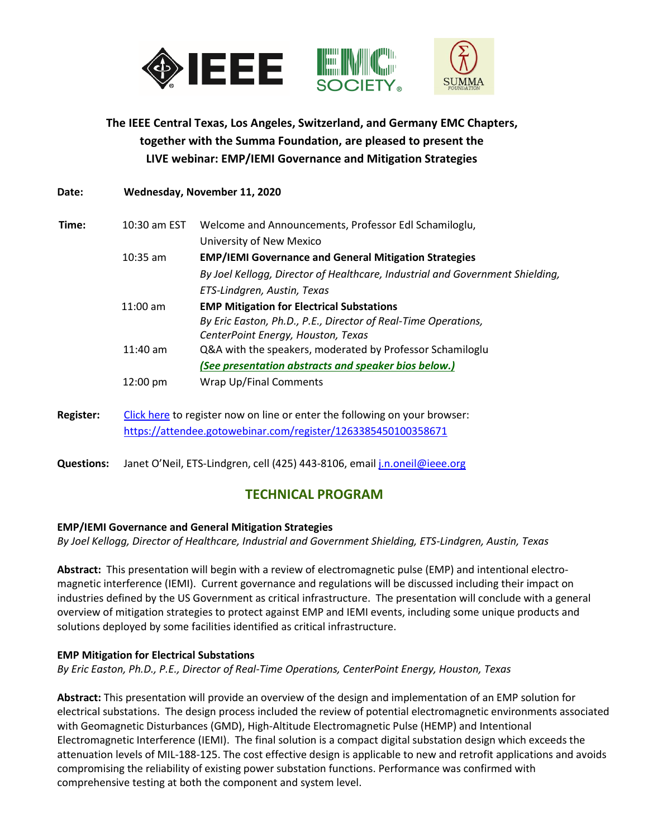

**The IEEE Central Texas, Los Angeles, Switzerland, and Germany EMC Chapters, together with the Summa Foundation, are pleased to present the LIVE webinar: EMP/IEMI Governance and Mitigation Strategies** 

| Date:            | Wednesday, November 11, 2020                                               |                                                                               |
|------------------|----------------------------------------------------------------------------|-------------------------------------------------------------------------------|
| Time:            | 10:30 am EST                                                               | Welcome and Announcements, Professor Edl Schamiloglu,                         |
|                  |                                                                            | University of New Mexico                                                      |
|                  | $10:35$ am                                                                 | <b>EMP/IEMI Governance and General Mitigation Strategies</b>                  |
|                  |                                                                            | By Joel Kellogg, Director of Healthcare, Industrial and Government Shielding, |
|                  |                                                                            | ETS-Lindgren, Austin, Texas                                                   |
|                  | $11:00$ am                                                                 | <b>EMP Mitigation for Electrical Substations</b>                              |
|                  |                                                                            | By Eric Easton, Ph.D., P.E., Director of Real-Time Operations,                |
|                  |                                                                            | CenterPoint Energy, Houston, Texas                                            |
|                  | $11:40$ am                                                                 | Q&A with the speakers, moderated by Professor Schamiloglu                     |
|                  |                                                                            | (See presentation abstracts and speaker bios below.)                          |
|                  | 12:00 pm                                                                   | Wrap Up/Final Comments                                                        |
|                  |                                                                            |                                                                               |
| <b>Register:</b> | Click here to register now on line or enter the following on your browser: |                                                                               |
|                  | https://attendee.gotowebinar.com/register/1263385450100358671              |                                                                               |

**Questions:** Janet O'Neil, ETS-Lindgren, cell (425) 443-8106, emai[l j.n.oneil@ieee.org](mailto:j.n.oneil@ieee.org)

# **TECHNICAL PROGRAM**

## **EMP/IEMI Governance and General Mitigation Strategies**

*By Joel Kellogg, Director of Healthcare, Industrial and Government Shielding, ETS-Lindgren, Austin, Texas*

**Abstract:** This presentation will begin with a review of electromagnetic pulse (EMP) and intentional electromagnetic interference (IEMI). Current governance and regulations will be discussed including their impact on industries defined by the US Government as critical infrastructure. The presentation will conclude with a general overview of mitigation strategies to protect against EMP and IEMI events, including some unique products and solutions deployed by some facilities identified as critical infrastructure.

#### **EMP Mitigation for Electrical Substations**

*By Eric Easton, Ph.D., P.E., Director of Real-Time Operations, CenterPoint Energy, Houston, Texas*

**Abstract:** This presentation will provide an overview of the design and implementation of an EMP solution for electrical substations. The design process included the review of potential electromagnetic environments associated with Geomagnetic Disturbances (GMD), High-Altitude Electromagnetic Pulse (HEMP) and Intentional Electromagnetic Interference (IEMI). The final solution is a compact digital substation design which exceeds the attenuation levels of MIL-188-125. The cost effective design is applicable to new and retrofit applications and avoids compromising the reliability of existing power substation functions. Performance was confirmed with comprehensive testing at both the component and system level.